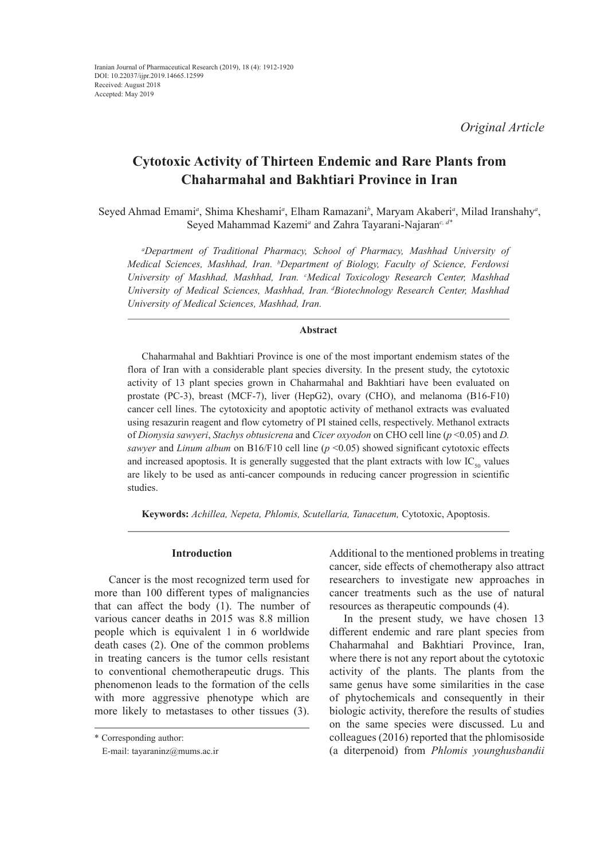*Original Article*

# **Cytotoxic Activity of Thirteen Endemic and Rare Plants from Chaharmahal and Bakhtiari Province in Iran**

Seyed Ahmad Emami<sup>a</sup>, Shima Kheshami<sup>a</sup>, Elham Ramazani<sup>b</sup>, Maryam Akaberi<sup>a</sup>, Milad Iranshahy<sup>a</sup>, Seyed Mahammad Kazemi*<sup>a</sup>* and Zahra Tayarani‐Najaran*c, d\**

*a Department of Traditional Pharmacy, School of Pharmacy, Mashhad University of Medical Sciences, Mashhad, Iran. b Department of Biology, Faculty of Science, Ferdowsi University of Mashhad, Mashhad, Iran. c Medical Toxicology Research Center, Mashhad University of Medical Sciences, Mashhad, Iran. dBiotechnology Research Center, Mashhad University of Medical Sciences, Mashhad, Iran.*

# **Abstract**

Chaharmahal and Bakhtiari Province is one of the most important endemism states of the flora of Iran with a considerable plant species diversity. In the present study, the cytotoxic activity of 13 plant species grown in Chaharmahal and Bakhtiari have been evaluated on prostate (PC-3), breast (MCF-7), liver (HepG2), ovary (CHO), and melanoma (B16-F10) cancer cell lines. The cytotoxicity and apoptotic activity of methanol extracts was evaluated using resazurin reagent and flow cytometry of PI stained cells, respectively. Methanol extracts of *Dionysia sawyeri*, *Stachys obtusicrena* and *Cicer oxyodon* on CHO cell line (*p* <0.05) and *D. sawyer* and *Linum album* on B16/F10 cell line (*p* <0.05) showed significant cytotoxic effects and increased apoptosis. It is generally suggested that the plant extracts with low  $IC_{50}$  values are likely to be used as anti-cancer compounds in reducing cancer progression in scientific studies.

**Keywords:** *Achillea, Nepeta, Phlomis, Scutellaria, Tanacetum,* Cytotoxic, Apoptosis.

## **Introduction**

Cancer is the most recognized term used for more than 100 different types of malignancies that can affect the body (1). The number of various cancer deaths in 2015 was 8.8 million people which is equivalent 1 in 6 worldwide death cases (2). One of the common problems in treating cancers is the tumor cells resistant to conventional chemotherapeutic drugs. This phenomenon leads to the formation of the cells with more aggressive phenotype which are more likely to metastases to other tissues (3).

Additional to the mentioned problems in treating cancer, side effects of chemotherapy also attract researchers to investigate new approaches in cancer treatments such as the use of natural resources as therapeutic compounds (4).

In the present study, we have chosen 13 different endemic and rare plant species from Chaharmahal and Bakhtiari Province, Iran, where there is not any report about the cytotoxic activity of the plants. The plants from the same genus have some similarities in the case of phytochemicals and consequently in their biologic activity, therefore the results of studies on the same species were discussed. Lu and colleagues (2016) reported that the phlomisoside (a diterpenoid) from *Phlomis younghusbandii*

<sup>\*</sup> Corresponding author:

E-mail: tayaraninz@mums.ac.ir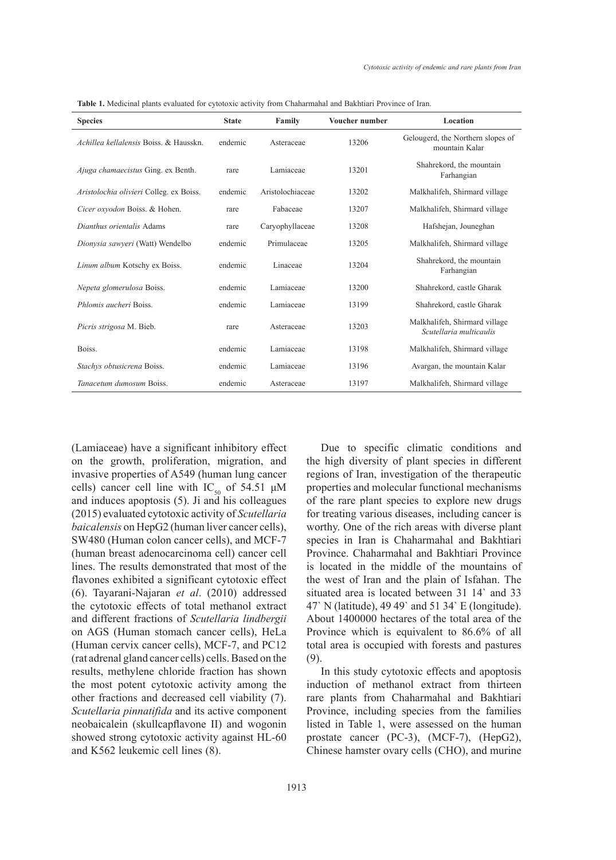| <b>Species</b>                          | <b>State</b> | Family           | Voucher number | Location                                                 |
|-----------------------------------------|--------------|------------------|----------------|----------------------------------------------------------|
| Achillea kellalensis Boiss, & Hausskn.  | endemic      | Asteraceae       | 13206          | Gelougerd, the Northern slopes of<br>mountain Kalar      |
| Ajuga chamaecistus Ging. ex Benth.      | rare         | Lamiaceae        | 13201          | Shahrekord, the mountain<br>Farhangian                   |
| Aristolochia olivieri Colleg. ex Boiss. | endemic      | Aristolochiaceae | 13202          | Malkhalifeh, Shirmard village                            |
| Cicer oxyodon Boiss. & Hohen.           | rare         | Fabaceae         | 13207          | Malkhalifeh, Shirmard village                            |
| Dianthus orientalis Adams               | rare         | Caryophyllaceae  | 13208          | Hafshejan, Jouneghan                                     |
| Dionysia sawyeri (Watt) Wendelbo        | endemic      | Primulaceae      | 13205          | Malkhalifeh, Shirmard village                            |
| Linum album Kotschy ex Boiss.           | endemic      | Linaceae         | 13204          | Shahrekord, the mountain<br>Farhangian                   |
| Nepeta glomerulosa Boiss.               | endemic      | Lamiaceae        | 13200          | Shahrekord, castle Gharak                                |
| Phlomis aucheri Boiss.                  | endemic      | Lamiaceae        | 13199          | Shahrekord, castle Gharak                                |
| Picris strigosa M. Bieb.                | rare         | Asteraceae       | 13203          | Malkhalifeh, Shirmard village<br>Scutellaria multicaulis |
| Boiss.                                  | endemic      | Lamiaceae        | 13198          | Malkhalifeh, Shirmard village                            |
| Stachys obtusicrena Boiss.              | endemic      | Lamiaceae        | 13196          | Avargan, the mountain Kalar                              |
| <i>Tanacetum dumosum</i> Boiss.         | endemic      | Asteraceae       | 13197          | Malkhalifeh, Shirmard village                            |

**Table 1.** Medicinal plants evaluated for cytotoxic activity from Chaharmahal and Bakhtiari Province of Iran.

(Lamiaceae) have a significant inhibitory effect on the growth, proliferation, migration, and invasive properties of A549 (human lung cancer cells) cancer cell line with  $IC_{50}$  of 54.51  $\mu$ M and induces apoptosis (5). Ji and his colleagues (2015) evaluated cytotoxic activity of *Scutellaria baicalensis* on HepG2 (human liver cancer cells), SW480 (Human colon cancer cells), and MCF-7 (human breast adenocarcinoma cell) cancer cell lines. The results demonstrated that most of the flavones exhibited a significant cytotoxic effect (6). Tayarani-Najaran *et al*. (2010) addressed the cytotoxic effects of total methanol extract and different fractions of *Scutellaria lindbergii* on AGS (Human stomach cancer cells), HeLa (Human cervix cancer cells), MCF-7, and PC12 (rat adrenal gland cancer cells) cells. Based on the results, methylene chloride fraction has shown the most potent cytotoxic activity among the other fractions and decreased cell viability (7). *Scutellaria pinnatifida* and its active component neobaicalein (skullcapflavone II) and wogonin showed strong cytotoxic activity against HL-60 and K562 leukemic cell lines (8).

Due to specific climatic conditions and the high diversity of plant species in different regions of Iran, investigation of the therapeutic properties and molecular functional mechanisms of the rare plant species to explore new drugs for treating various diseases, including cancer is worthy. One of the rich areas with diverse plant species in Iran is Chaharmahal and Bakhtiari Province. Chaharmahal and Bakhtiari Province is located in the middle of the mountains of the west of Iran and the plain of Isfahan. The situated area is located between 31 14` and 33 47` N (latitude), 49 49` and 51 34` E (longitude). About 1400000 hectares of the total area of the Province which is equivalent to 86.6% of all total area is occupied with forests and pastures (9).

In this study cytotoxic effects and apoptosis induction of methanol extract from thirteen rare plants from Chaharmahal and Bakhtiari Province, including species from the families listed in Table 1, were assessed on the human prostate cancer (PC-3), (MCF-7), (HepG2), Chinese hamster ovary cells (CHO), and murine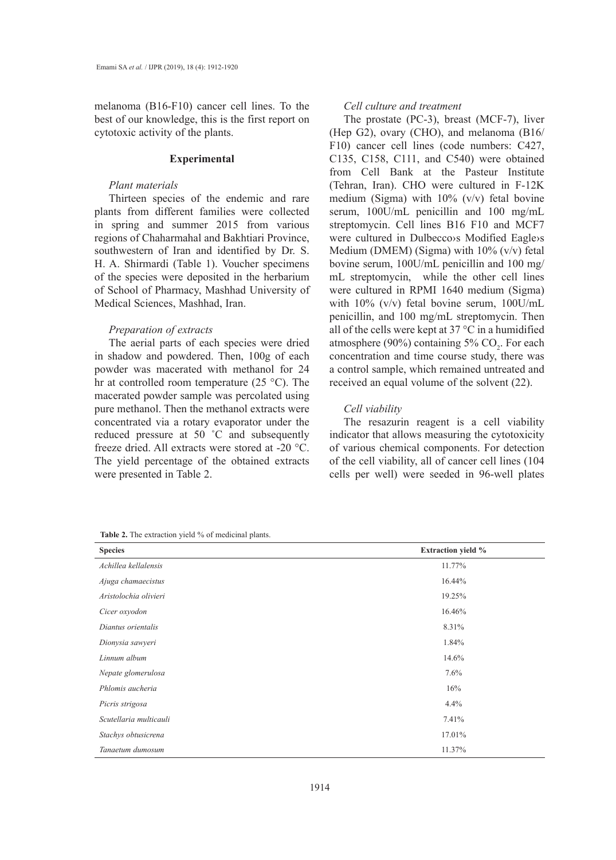melanoma (B16-F10) cancer cell lines. To the best of our knowledge, this is the first report on cytotoxic activity of the plants.

## **Experimental**

## *Plant materials*

Thirteen species of the endemic and rare plants from different families were collected in spring and summer 2015 from various regions of Chaharmahal and Bakhtiari Province, southwestern of Iran and identified by Dr. S. H. A. Shirmardi (Table 1). Voucher specimens of the species were deposited in the herbarium of School of Pharmacy, Mashhad University of Medical Sciences, Mashhad, Iran.

## *Preparation of extracts*

The aerial parts of each species were dried in shadow and powdered. Then, 100g of each powder was macerated with methanol for 24 hr at controlled room temperature (25 °C). The macerated powder sample was percolated using pure methanol. Then the methanol extracts were concentrated via a rotary evaporator under the reduced pressure at 50 ˚C and subsequently freeze dried. All extracts were stored at -20 °C. The yield percentage of the obtained extracts were presented in Table 2.

#### *Cell culture and treatment*

The prostate (PC-3), breast (MCF-7), liver (Hep G2), ovary (CHO), and melanoma (B16/ F10) cancer cell lines (code numbers: C427, C135, C158, C111, and C540) were obtained from Cell Bank at the Pasteur Institute (Tehran, Iran). CHO were cultured in F-12K medium (Sigma) with  $10\%$  (v/v) fetal bovine serum, 100U/mL penicillin and 100 mg/mL streptomycin. Cell lines B16 F10 and MCF7 were cultured in Dulbecco›s Modified Eagle›s Medium (DMEM) (Sigma) with 10% (v/v) fetal bovine serum, 100U/mL penicillin and 100 mg/ mL streptomycin, while the other cell lines were cultured in RPMI 1640 medium (Sigma) with 10% (v/v) fetal bovine serum, 100U/mL penicillin, and 100 mg/mL streptomycin. Then all of the cells were kept at  $37^{\circ}$ C in a humidified atmosphere (90%) containing 5%  $CO_2$ . For each concentration and time course study, there was a control sample, which remained untreated and received an equal volume of the solvent (22).

## *Cell viability*

The resazurin reagent is a cell viability indicator that allows measuring the cytotoxicity of various chemical components. For detection of the cell viability, all of cancer cell lines (104 cells per well) were seeded in 96-well plates

**Species Extraction yield %** *Achillea kellalensis* 11.77% *Ajuga chamaecistus* 16.44% *Aristolochia olivieri* 19.25% *Cicer oxyodon* 16.46% *Diantus orientalis* 8.31% *Dionysia sawyeri* 1.84% *Linnum album* 14.6% *Nepate glomerulosa* 7.6% *Phlomis aucheria* 16% *Picris strigosa* 4.4% *Scutellaria multicauli* 7.41% *Stachys obtusicrena* 17.01% *Tanaetum dumosum* 11.37%

Table 2. The extraction yield % of medicinal plants.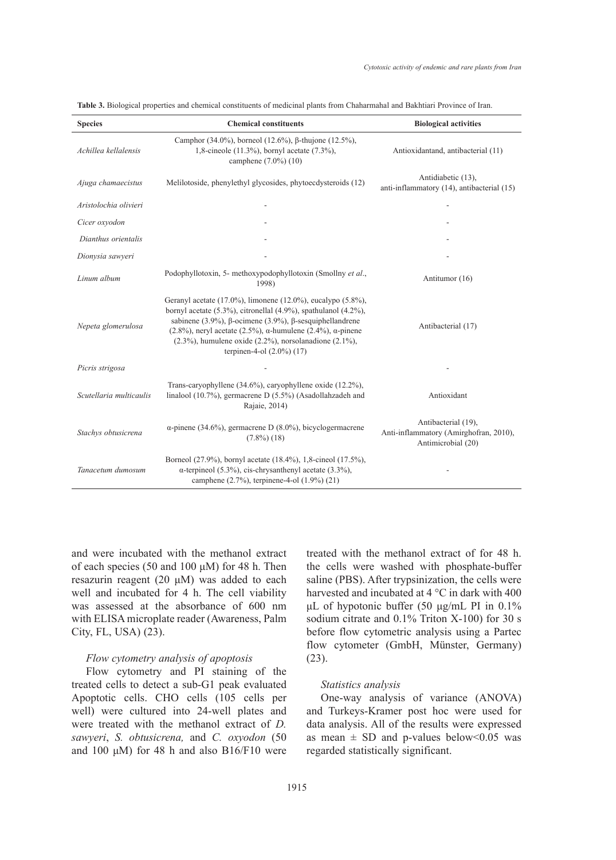| <b>Species</b>          | <b>Chemical constituents</b>                                                                                                                                                                                                                                                                                                                                                                           | <b>Biological activities</b>                                                        |
|-------------------------|--------------------------------------------------------------------------------------------------------------------------------------------------------------------------------------------------------------------------------------------------------------------------------------------------------------------------------------------------------------------------------------------------------|-------------------------------------------------------------------------------------|
| Achillea kellalensis    | Camphor (34.0%), borneol (12.6%), $\beta$ -thujone (12.5%),<br>1,8-cineole (11.3%), bornyl acetate (7.3%),<br>camphene (7.0%) (10)                                                                                                                                                                                                                                                                     | Antioxidantand, antibacterial (11)                                                  |
| Ajuga chamaecistus      | Melilotoside, phenylethyl glycosides, phytoecdysteroids (12)                                                                                                                                                                                                                                                                                                                                           | Antidiabetic (13),<br>anti-inflammatory (14), antibacterial (15)                    |
| Aristolochia olivieri   |                                                                                                                                                                                                                                                                                                                                                                                                        |                                                                                     |
| Cicer oxyodon           |                                                                                                                                                                                                                                                                                                                                                                                                        |                                                                                     |
| Dianthus orientalis     |                                                                                                                                                                                                                                                                                                                                                                                                        |                                                                                     |
| Dionysia sawyeri        |                                                                                                                                                                                                                                                                                                                                                                                                        |                                                                                     |
| Linum album             | Podophyllotoxin, 5- methoxypodophyllotoxin (Smollny et al.,<br>1998)                                                                                                                                                                                                                                                                                                                                   | Antitumor (16)                                                                      |
| Nepeta glomerulosa      | Geranyl acetate (17.0%), limonene (12.0%), eucalypo (5.8%),<br>bornyl acetate (5.3%), citronellal (4.9%), spathulanol (4.2%),<br>sabinene (3.9%), $\beta$ -ocimene (3.9%), $\beta$ -sesquiphellandrene<br>$(2.8\%)$ , neryl acetate $(2.5\%)$ , $\alpha$ -humulene $(2.4\%)$ , $\alpha$ -pinene<br>$(2.3\%)$ , humulene oxide $(2.2\%)$ , norsolanadione $(2.1\%)$ ,<br>terpinen-4-ol $(2.0\%)$ $(17)$ | Antibacterial (17)                                                                  |
| Picris strigosa         |                                                                                                                                                                                                                                                                                                                                                                                                        |                                                                                     |
| Scutellaria multicaulis | Trans-caryophyllene (34.6%), caryophyllene oxide (12.2%),<br>linalool (10.7%), germacrene D (5.5%) (Asadollahzadeh and<br>Rajaie, 2014)                                                                                                                                                                                                                                                                | Antioxidant                                                                         |
| Stachys obtusicrena     | $\alpha$ -pinene (34.6%), germacrene D (8.0%), bicyclogermacrene<br>$(7.8\%)$ (18)                                                                                                                                                                                                                                                                                                                     | Antibacterial (19),<br>Anti-inflammatory (Amirghofran, 2010),<br>Antimicrobial (20) |
| Tanacetum dumosum       | Borneol (27.9%), bornyl acetate (18.4%), 1,8-cineol (17.5%),<br>$\alpha$ -terpineol (5.3%), cis-chrysanthenyl acetate (3.3%),<br>camphene (2.7%), terpinene-4-ol (1.9%) (21)                                                                                                                                                                                                                           |                                                                                     |

**Table 3.** Biological properties and chemical constituents of medicinal plants from Chaharmahal and Bakhtiari Province of Iran.

and were incubated with the methanol extract of each species (50 and 100 μM) for 48 h. Then resazurin reagent (20 μM) was added to each well and incubated for 4 h. The cell viability was assessed at the absorbance of 600 nm with ELISA microplate reader (Awareness, Palm City, FL, USA) (23).

## *Flow cytometry analysis of apoptosis*

Flow cytometry and PI staining of the treated cells to detect a sub-G1 peak evaluated Apoptotic cells. CHO cells (105 cells per well) were cultured into 24-well plates and were treated with the methanol extract of *D. sawyeri*, *S. obtusicrena,* and *C. oxyodon* (50 and 100  $\mu$ M) for 48 h and also B16/F10 were treated with the methanol extract of for 48 h. the cells were washed with phosphate-buffer saline (PBS). After trypsinization, the cells were harvested and incubated at 4 °C in dark with 400 μL of hypotonic buffer (50 μg/mL PI in 0.1% sodium citrate and 0.1% Triton X-100) for 30 s before flow cytometric analysis using a Partec flow cytometer (GmbH, Münster, Germany) (23).

## *Statistics analysis*

One-way analysis of variance (ANOVA) and Turkeys-Kramer post hoc were used for data analysis. All of the results were expressed as mean  $\pm$  SD and p-values below<0.05 was regarded statistically significant.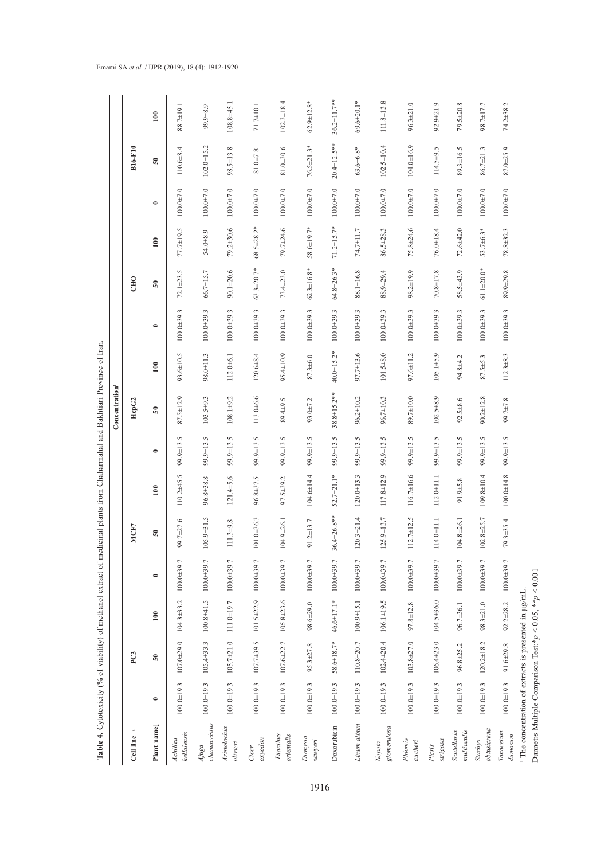|                                                                 |                |                  |                                                      |                |                                           |                  |           | Concentration <sup>1</sup> |               |                |                   |                  |                 |                    |                    |
|-----------------------------------------------------------------|----------------|------------------|------------------------------------------------------|----------------|-------------------------------------------|------------------|-----------|----------------------------|---------------|----------------|-------------------|------------------|-----------------|--------------------|--------------------|
| Cell line $\rightarrow$                                         |                | PC3              |                                                      |                | MCF7                                      |                  |           | HepG2                      |               |                | <b>CHO</b>        |                  |                 | <b>B16-F10</b>     |                    |
| Plant name                                                      | $\bullet$      | $\overline{50}$  | $\approx$                                            | $\bullet$      | ន                                         | 100              | $\bullet$ | $\overline{50}$            | 100           | $\bullet$      | 50                | $\overline{100}$ | $\bullet$       | ន                  | 100                |
| kellalensis<br>Achillea                                         | $100.0 + 19.3$ | $107.0 + 29.0$   | $104.3 \pm 33.2$                                     | $100.0 + 39.7$ | 99.7±27.6                                 | $110.2 + 45.5$   | 99.9±13.5 | $87.5 \pm 12.9$            | 93.6±10.5     | $100.0 + 39.3$ | $72.1 + 23.5$     | 77.7±19.5        | $100.0 + 7.0$   | $110.6 + 8.4$      | 88.7±19.1          |
| chamaecistus<br>Ajuga                                           | $100.0 + 19.3$ | $105.4 \pm 33.3$ | $100.8 + 41.5$                                       | $100.0 + 39.7$ | $105.9 \pm 31.5$                          | 96.8±38.8        | 99.9±13.5 | $103.5 + 9.3$              | 98.0±11.3     | $100.0 + 39.3$ | 66.7±15.7         | 54.0±8.9         | $100.0 + 7.0$   | $102.0 + 15.2$     | 99.9±8.9           |
| Aristolochia<br>olivieri                                        | $100.0 + 19.3$ | $105.7 \pm 21.0$ | 111.0±19.7                                           | $100.0 + 39.7$ | $11.3 + 9.8$                              | $121.4 + 5.6$    | 99.9±13.5 | $108.1 + 9.2$              | $112.0 + 6.1$ | $100.0 + 39.3$ | $90.1 + 20.6$     | 79.2±30.6        | $100.0 + 7.0$   | 98.5±13.8          | 108.8±45.1         |
| $\alpha y$ odon<br><b>Cicer</b>                                 | $100.0 + 19.3$ | $107.7 \pm 39.5$ | $101.5 \pm 22.9$                                     | $100.0 + 39.7$ | $101.0 + 36.3$                            | 96.8±37.5        | 99.9±13.5 | 113.0±6.6                  | $120.6 + 8.4$ | $100.0 + 39.3$ | $63.3 + 20.7*$    | $68.5 \pm 28.2*$ | $100.0 + 7.0$   | $81.0 + 7.8$       | $71.7 \pm 10.1$    |
| Dianthus<br>orientalis                                          | $100.0 + 19.3$ |                  | $107.6 \pm 22.7$ $105.8 \pm 23.6$                    | 100.0±39.7     | $104.9 + 26.1$                            | $97.5 + 39.2$    | 99.9±13.5 | 89.4±9.5                   | 95.4±10.9     | $100.0 + 39.3$ | $73.4 + 23.0$     | 79.7±24.6        | $100.0 + 7.0$   | 81.0±30.6          | $102.3 \pm 18.4$   |
| Dionysia<br>sawyeri                                             | $100.0 + 19.3$ | $95.3 + 27.8$    | $98.6 + 29.0$                                        | $100.0 + 39.7$ | $91.2 \pm 13.7$                           | 104.6±14.4       | 99.9±13.5 | 93.0±7.2                   | $87.3 + 6.0$  | $100.0 + 39.3$ | $62.3 \pm 16.8$ * | 58.6±19.7*       | $100.0 + 7.0$   | 76.5±21.3*         | $62.9 \pm 12.8$ *  |
| Doxorubicin                                                     | $100.0 + 19.3$ | $58.6 \pm 18.7*$ | 46.6±17.1*                                           | $100.0 + 39.7$ | $.4 + 26.8$ **<br>36.                     | $52.7 \pm 21.1*$ | 99.9±13.5 | 38.8±15.2**                | 40.0±15.2*    | $100.0 + 39.3$ | $64.8 \pm 26.3*$  | $71.2 \pm 15.7*$ | $100.0 \pm 7.0$ | $20.4 \pm 12.5$ ** | $36.2 \pm 11.7$ ** |
| Linum album                                                     | $100.0 + 19.3$ | 110.8±20.7       | $100.9 \pm 15.1$                                     | $100.0 + 39.7$ | $120.3 + 21.4$                            | $120.0 + 13.3$   | 99.9±13.5 | $96.2 \pm 10.2$            | 97.7±13.6     | $100.0 + 39.3$ | 88.1±16.8         | 74.7±11.7        | $100.0 + 7.0$   | $63.6 \pm 6.8*$    | $69.6 \pm 20.1*$   |
| glomerulosa<br>Nepeta                                           | $100.0 + 19.3$ | $102.4 \pm 20.4$ | $106.1 \pm 19.5$                                     | $100.0 + 39.7$ | 125.9±13.7                                | 117.8±12.9       | 99.9±13.5 | 96.7±10.3                  | $101.5 + 8.0$ | $100.0 + 39.3$ | 88.9±29.4         | 86.5±28.3        | $100.0 + 7.0$   | $102.5 \pm 10.4$   | 111.8±13.8         |
| Phlomis<br>aucheri                                              | $100.0 + 19.3$ | $103.8 + 27.0$   | 97.8±12.8                                            | $100.0 + 39.7$ | $2.7 + 12.5$<br>$\equiv$                  | $116.7 \pm 16.6$ | 99.9±13.5 | 89.7±10.0                  | 97.6±11.2     | $100.0 + 39.3$ | 98.2±19.9         | $75.8 + 24.6$    | $100.0 + 7.0$   | $104.0 + 16.9$     | $96.3 + 21.0$      |
| strigosa<br>Picris                                              | $100.0 + 19.3$ | $106.4 \pm 23.0$ | $104.5 \pm 36.0$                                     | $100.0 + 39.7$ | $14.0 + 11.1$<br>$\overline{\phantom{0}}$ | $112.0 + 11.1$   | 99.9±13.5 | $102.5 + 8.9$              | $105.1 + 5.9$ | $100.0 + 39.3$ | $70.8 + 17.8$     | 76.0±18.4        | $100.0 + 7.0$   | $114.5 + 9.5$      | $92.9 \pm 21.9$    |
| multicaulis<br>Scutellaria                                      | $100.0 + 19.3$ | $96.8 + 25.2$    | 96.7±36.1                                            | $100.0 + 39.7$ | $104.8 + 26.1$                            | $91.9 + 5.8$     | 99.9±13.5 | $92.5 + 8.6$               | 94.8±4.2      | $100.0 + 39.3$ | $58.5 + 43.9$     | $72.6 + 42.0$    | $100.0 + 7.0$   | 89.3±16.5          | $79.5 + 20.8$      |
| obtusicrena<br><b>Stachys</b>                                   | $100.0 + 19.3$ | $120.2 \pm 18.2$ | $98.3 + 21.0$                                        | $100.0 + 39.7$ | $102.8 + 25.7$                            | $109.8 \pm 10.4$ | 99.9±13.5 | $90.2 + 12.8$              | $87.5 + 5.3$  | $100.0 + 39.3$ | $61.1 + 20.0*$    | $53.7\pm 6.3*$   | $100.0 + 7.0$   | 86.7±21.3          | 98.7±17.7          |
| Tanacetum<br>dumosum                                            | $100.0 + 19.3$ | $91.6 + 29.8$    | $92.2 + 28.2$                                        | $100.0 + 39.7$ | $79.3 + 35.4$                             | $100.0 + 14.8$   | 99.9±13.5 | 87+7.8                     | $112.3 + 8.3$ | $100.0 + 39.3$ | 89.9±29.8         | $78.8 + 32.3$    | $100.0 + 7.0$   | 87.0±25.9          | 74.2±38.2          |
| Dunnets Multiple Comparison Test; * $p$ < 0.05, * * $p$ < 0.001 |                |                  | The concentration of extracts is presented in µg/mL. |                |                                           |                  |           |                            |               |                |                   |                  |                 |                    |                    |

Table 4. Cytotoxicity (% of viability) of methanol extract of medicinal plants from Chaharmahal and Bakhtiari Province of Iran. **Table 4.** Cytotoxicity (% of viability) of methanol extract of medicinal plants from Chaharmahal and Bakhtiari Province of Iran.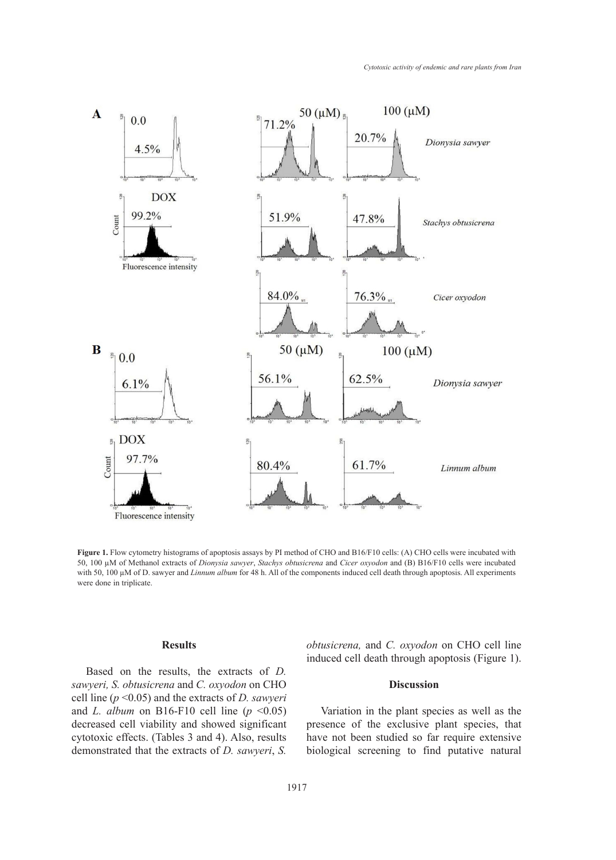

50, 100 μM of Methanol extracts of Dionysia sawyer, Stachys obtusicrena and Cicer oxyodon and (B) B16/F10 cells were incubated  $\theta$  cells to the incredibility choice in the Methanol extracts of  $\theta$  and  $\theta$  and  $\theta$  and  $\theta$ Figure 1. Flow cytometry histograms of apoptosis assays by PI method of CHO and B16/F10 cells: (A) CHO cells were incubated with with 50, 100  $\mu$ M of D. sawyer and *Linnum album* for 48 h. All of the components induced cell death through apoptosis. All experiments were done in triplicate.

# **Results**

Based on the results, the extracts of *D.*  sawyeri, *S. obtusicrena* and *C. oxyodon* on CHO cell line (*p* <0.05) and the extracts of *D. sawyeri* and *L. album* on B16-F10 cell line ( $p \le 0.05$ ) decreased cell viability and showed significant cytotoxic effects. (Tables 3 and 4). Also, results demonstrated that the extracts of *D. sawyeri*, *S.* 

*obtusicrena,* and *C. oxyodon* on CHO cell line induced cell death through apoptosis (Figure 1). incubated with 50, 100 µM of D. sawyer and *Linnum album* for 48 h. All of the

## **Discussion**

Variation in the plant species as well as the presence of the exclusive plant species, that have not been studied so far require extensive biological screening to find putative natural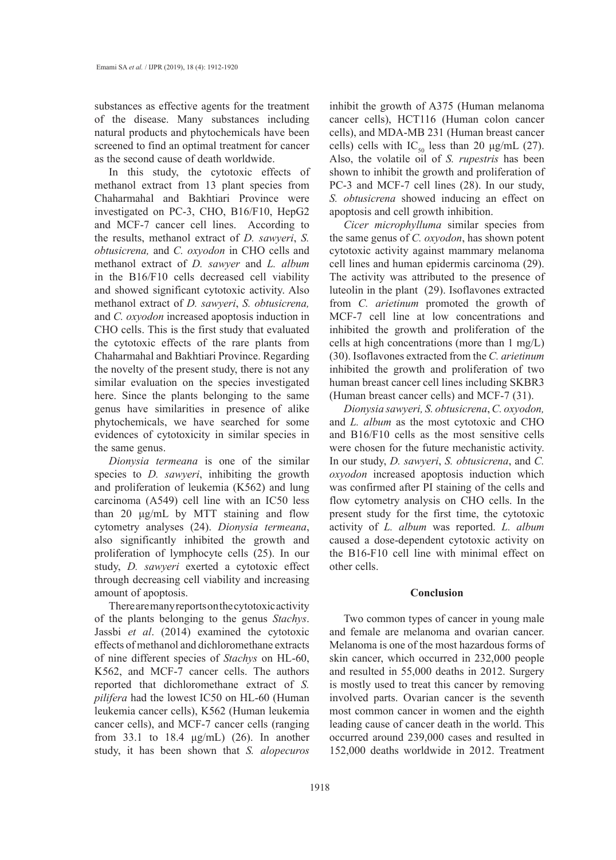substances as effective agents for the treatment of the disease. Many substances including natural products and phytochemicals have been screened to find an optimal treatment for cancer as the second cause of death worldwide.

In this study, the cytotoxic effects of methanol extract from 13 plant species from Chaharmahal and Bakhtiari Province were investigated on PC-3, CHO, B16/F10, HepG2 and MCF-7 cancer cell lines. According to the results, methanol extract of *D. sawyeri*, *S. obtusicrena,* and *C. oxyodon* in CHO cells and methanol extract of *D. sawyer* and *L. album*  in the B16/F10 cells decreased cell viability and showed significant cytotoxic activity. Also methanol extract of *D. sawyeri*, *S. obtusicrena,*  and *C. oxyodon* increased apoptosis induction in CHO cells. This is the first study that evaluated the cytotoxic effects of the rare plants from Chaharmahal and Bakhtiari Province. Regarding the novelty of the present study, there is not any similar evaluation on the species investigated here. Since the plants belonging to the same genus have similarities in presence of alike phytochemicals, we have searched for some evidences of cytotoxicity in similar species in the same genus.

*Dionysia termeana* is one of the similar species to *D. sawyeri*, inhibiting the growth and proliferation of leukemia (K562) and lung carcinoma (A549) cell line with an IC50 less than 20 μg/mL by MTT staining and flow cytometry analyses (24). *Dionysia termeana*, also significantly inhibited the growth and proliferation of lymphocyte cells (25). In our study, *D. sawyeri* exerted a cytotoxic effect through decreasing cell viability and increasing amount of apoptosis.

There are many reports on the cytotoxic activity of the plants belonging to the genus *Stachys*. Jassbi *et al*. (2014) examined the cytotoxic effects of methanol and dichloromethane extracts of nine different species of *Stachys* on HL-60, K562, and MCF-7 cancer cells. The authors reported that dichloromethane extract of *S. pilifera* had the lowest IC50 on HL-60 (Human leukemia cancer cells), K562 (Human leukemia cancer cells), and MCF-7 cancer cells (ranging from 33.1 to 18.4 μg/mL) (26). In another study, it has been shown that *S. alopecuros*

inhibit the growth of A375 (Human melanoma cancer cells), HCT116 (Human colon cancer cells), and MDA-MB 231 (Human breast cancer cells) cells with IC<sub>50</sub> less than 20  $\mu$ g/mL (27). Also, the volatile oil of *S. rupestris* has been shown to inhibit the growth and proliferation of PC-3 and MCF-7 cell lines (28). In our study, *S. obtusicrena* showed inducing an effect on apoptosis and cell growth inhibition.

*Cicer microphylluma* similar species from the same genus of *C. oxyodon*, has shown potent cytotoxic activity against mammary melanoma cell lines and human epidermis carcinoma (29). The activity was attributed to the presence of luteolin in the plant (29). Isoflavones extracted from *C. arietinum* promoted the growth of MCF-7 cell line at low concentrations and inhibited the growth and proliferation of the cells at high concentrations (more than 1 mg/L) (30). Isoflavones extracted from the *C. arietinum* inhibited the growth and proliferation of two human breast cancer cell lines including SKBR3 (Human breast cancer cells) and MCF-7 (31).

*Dionysia sawyeri, S. obtusicrena*, *C. oxyodon,*  and *L. album* as the most cytotoxic and CHO and B16/F10 cells as the most sensitive cells were chosen for the future mechanistic activity. In our study, *D. sawyeri*, *S. obtusicrena*, and *C. oxyodon* increased apoptosis induction which was confirmed after PI staining of the cells and flow cytometry analysis on CHO cells. In the present study for the first time, the cytotoxic activity of *L. album* was reported. *L. album* caused a dose-dependent cytotoxic activity on the B16-F10 cell line with minimal effect on other cells.

## **Conclusion**

Two common types of cancer in young male and female are melanoma and ovarian cancer. Melanoma is one of the most hazardous forms of skin cancer, which occurred in 232,000 people and resulted in 55,000 deaths in 2012. Surgery is mostly used to treat this cancer by removing involved parts. Ovarian cancer is the seventh most common cancer in women and the eighth leading cause of cancer death in the world. This occurred around 239,000 cases and resulted in 152,000 deaths worldwide in 2012. Treatment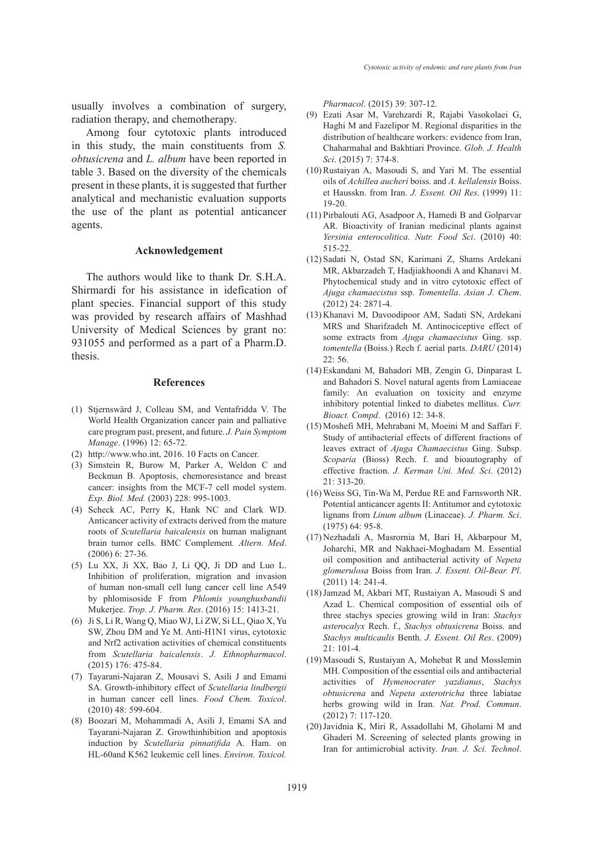usually involves a combination of surgery, radiation therapy, and chemotherapy.

Among four cytotoxic plants introduced in this study, the main constituents from *S. obtusicrena* and *L. album* have been reported in table 3. Based on the diversity of the chemicals present in these plants, it is suggested that further analytical and mechanistic evaluation supports the use of the plant as potential anticancer agents.

## **Acknowledgement**

The authors would like to thank Dr. S.H.A. Shirmardi for his assistance in idefication of plant species. Financial support of this study was provided by research affairs of Mashhad University of Medical Sciences by grant no: 931055 and performed as a part of a Pharm.D. thesis.

#### **References**

- (1) Stjernswärd J, Colleau SM, and Ventafridda V. The World Health Organization cancer pain and palliative care program past, present, and future. *J. Pain Symptom Manage*. (1996) 12: 65-72.
- http://www.who.int, 2016. 10 Facts on Cancer. (2)
- (3) Simstein R, Burow M, Parker A, Weldon C and Beckman B. Apoptosis, chemoresistance and breast cancer: insights from the MCF-7 cell model system. *Exp. Biol. Med.* (2003) 228: 995-1003.
- (4) Scheck AC, Perry K, Hank NC and Clark WD. Anticancer activity of extracts derived from the mature roots of *Scutellaria baicalensis* on human malignant brain tumor cells. BMC Complement*. Altern. Med*. (2006) 6: 27-36.
- Lu XX, Ji XX, Bao J, Li QQ, Ji DD and Luo L. (5) Inhibition of proliferation, migration and invasion of human non-small cell lung cancer cell line A549 by phlomisoside F from *Phlomis younghusbandii* Mukerjee. *Trop. J. Pharm. Res*. (2016) 15: 1413-21.
- Ji S, Li R, Wang Q, Miao WJ, Li ZW, Si LL, Qiao X, Yu (6) SW, Zhou DM and Ye M. Anti-H1N1 virus, cytotoxic and Nrf2 activation activities of chemical constituents from *Scutellaria baicalensis*. *J. Ethnopharmacol*. (2015) 176: 475-84.
- Tayarani-Najaran Z, Mousavi S, Asili J and Emami (7) SA. Growth-inhibitory effect of *Scutellaria lindbergii* in human cancer cell lines. *Food Chem. Toxicol*. (2010) 48: 599-604.
- Boozari M, Mohammadi A, Asili J, Emami SA and (8) Tayarani-Najaran Z. Growthinhibition and apoptosis induction by *Scutellaria pinnatifida* A. Ham. on HL-60and K562 leukemic cell lines. *Environ. Toxicol.*

*Pharmacol*. (2015) 39: 307-12.

- Ezati Asar M, Varehzardi R, Rajabi Vasokolaei G, (9) Haghi M and Fazelipor M. Regional disparities in the distribution of healthcare workers: evidence from Iran, Chaharmahal and Bakhtiari Province. *Glob. J. Health Sci*. (2015) 7: 374-8.
- $(10)$  Rustaiyan A, Masoudi S, and Yari M. The essential oils of *Achillea aucheri* boiss. and *A. kellalensis* Boiss. et Hausskn. from Iran. *J. Essent. Oil Res*. (1999) 11: 19-20.
- Pirbalouti AG, Asadpoor A, Hamedi B and Golparvar (11) AR. Bioactivity of Iranian medicinal plants against *Yersinia enterocolitica*. *Nutr. Food Sci*. (2010) 40: 515-22.
- (12) Sadati N, Ostad SN, Karimani Z, Shams Ardekani MR, Akbarzadeh T, Hadjiakhoondi A and Khanavi M. Phytochemical study and in vitro cytotoxic effect of *Ajuga chamaecistus* ssp. *Tomentella*. *Asian J. Chem*. (2012) 24: 2871-4.
- (13) Khanavi M, Davoodipoor AM, Sadati SN, Ardekani MRS and Sharifzadeh M. Antinociceptive effect of some extracts from *Ajuga chamaecistus* Ging. ssp. *tomentella* (Boiss.) Rech f. aerial parts. *DARU* (2014) 22: 56.
- Eskandani M, Bahadori MB, Zengin G, Dinparast L (14) and Bahadori S. Novel natural agents from Lamiaceae family: An evaluation on toxicity and enzyme inhibitory potential linked to diabetes mellitus. *Curr. Bioact. Compd*. (2016) 12: 34-8.
- (15) Moshefi MH, Mehrabani M, Moeini M and Saffari F. Study of antibacterial effects of different fractions of leaves extract of *Ajuga Chamaecistus* Ging. Subsp. *Scoparia* (Bioss) Rech. f. and bioautography of effective fraction. *J. Kerman Uni. Med. Sci*. (2012) 21: 313-20.
- Weiss SG, Tin‐Wa M, Perdue RE and Farnsworth NR. (16) Potential anticancer agents II: Antitumor and cytotoxic lignans from *Linum album* (Linaceae). *J. Pharm. Sci*. (1975) 64: 95-8.
- (17) Nezhadali A, Masrornia M, Bari H, Akbarpour M, Joharchi, MR and Nakhaei-Moghadam M. Essential oil composition and antibacterial activity of *Nepeta glomerulosa* Boiss from Iran. *J. Essent. Oil-Bear. Pl*. (2011) 14: 241-4.
- (18) Jamzad M, Akbari MT, Rustaiyan A, Masoudi S and Azad L. Chemical composition of essential oils of three stachys species growing wild in Iran: *Stachys asterocalyx* Rech. f., *Stachys obtusicrena* Boiss. and *Stachys multicaulis* Benth. *J. Essent. Oil Res*. (2009) 21: 101-4.
- (19) Masoudi S, Rustaiyan A, Mohebat R and Mosslemin MH. Composition of the essential oils and antibacterial activities of *Hymenocrater yazdianus*, *Stachys obtusicrena* and *Nepeta asterotricha* three labiatae herbs growing wild in Iran. *Nat. Prod. Commun*. (2012) 7: 117-120.
- (20) Javidnia K, Miri R, Assadollahi M, Gholami M and Ghaderi M. Screening of selected plants growing in Iran for antimicrobial activity. *Iran. J. Sci. Technol*.